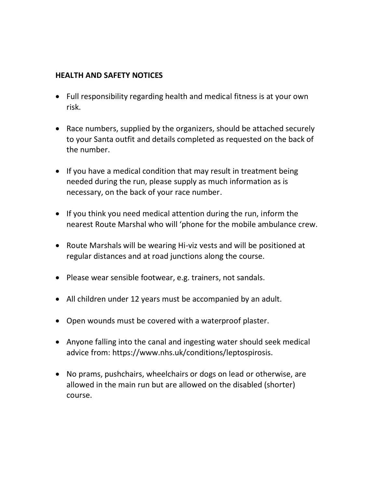## **HEALTH AND SAFETY NOTICES**

- Full responsibility regarding health and medical fitness is at your own risk.
- Race numbers, supplied by the organizers, should be attached securely to your Santa outfit and details completed as requested on the back of the number.
- If you have a medical condition that may result in treatment being needed during the run, please supply as much information as is necessary, on the back of your race number.
- If you think you need medical attention during the run, inform the nearest Route Marshal who will 'phone for the mobile ambulance crew.
- Route Marshals will be wearing Hi-viz vests and will be positioned at regular distances and at road junctions along the course.
- Please wear sensible footwear, e.g. trainers, not sandals.
- All children under 12 years must be accompanied by an adult.
- Open wounds must be covered with a waterproof plaster.
- Anyone falling into the canal and ingesting water should seek medical advice from: https://www.nhs.uk/conditions/leptospirosis.
- No prams, pushchairs, wheelchairs or dogs on lead or otherwise, are allowed in the main run but are allowed on the disabled (shorter) course.